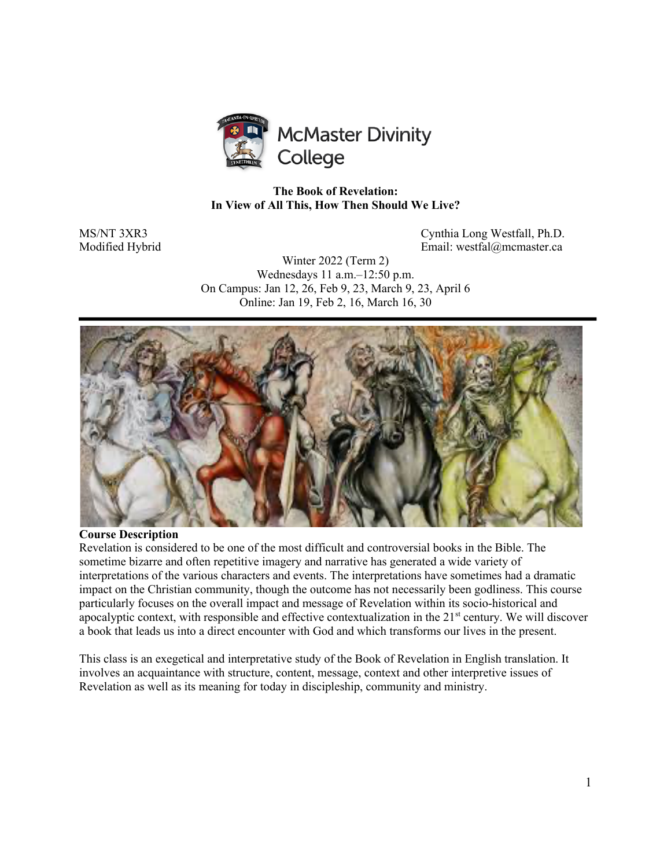

## **The Book of Revelation: In View of All This, How Then Should We Live?**

MS/NT 3XR3 Cynthia Long Westfall, Ph.D. Modified Hybrid Email: westfal@mcmaster.ca

> Winter 2022 (Term 2) Wednesdays 11 a.m.–12:50 p.m. On Campus: Jan 12, 26, Feb 9, 23, March 9, 23, April 6 Online: Jan 19, Feb 2, 16, March 16, 30



#### **Course Description**

Revelation is considered to be one of the most difficult and controversial books in the Bible. The sometime bizarre and often repetitive imagery and narrative has generated a wide variety of interpretations of the various characters and events. The interpretations have sometimes had a dramatic impact on the Christian community, though the outcome has not necessarily been godliness. This course particularly focuses on the overall impact and message of Revelation within its socio-historical and apocalyptic context, with responsible and effective contextualization in the  $21<sup>st</sup>$  century. We will discover a book that leads us into a direct encounter with God and which transforms our lives in the present.

This class is an exegetical and interpretative study of the Book of Revelation in English translation. It involves an acquaintance with structure, content, message, context and other interpretive issues of Revelation as well as its meaning for today in discipleship, community and ministry.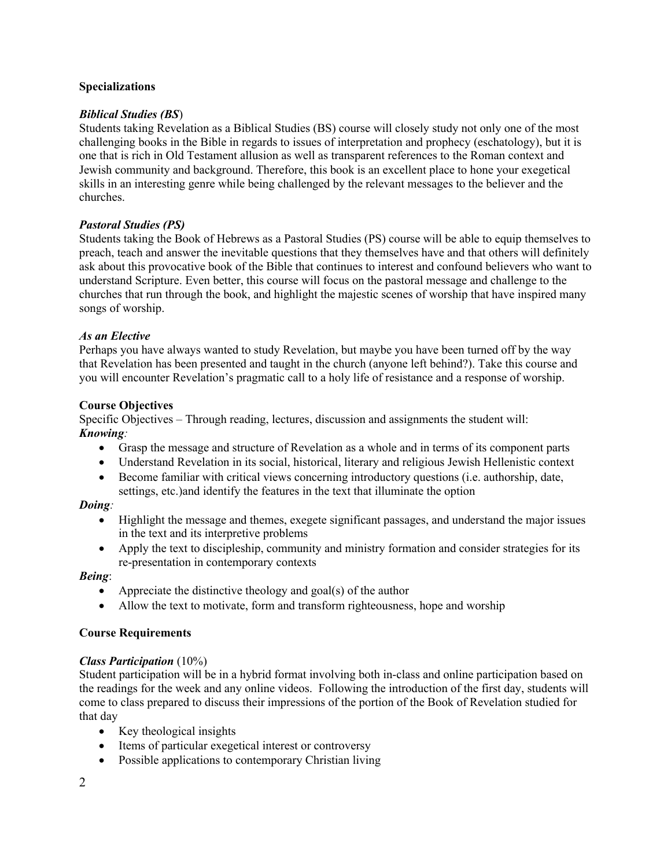## **Specializations**

## *Biblical Studies (BS*)

Students taking Revelation as a Biblical Studies (BS) course will closely study not only one of the most challenging books in the Bible in regards to issues of interpretation and prophecy (eschatology), but it is one that is rich in Old Testament allusion as well as transparent references to the Roman context and Jewish community and background. Therefore, this book is an excellent place to hone your exegetical skills in an interesting genre while being challenged by the relevant messages to the believer and the churches.

## *Pastoral Studies (PS)*

Students taking the Book of Hebrews as a Pastoral Studies (PS) course will be able to equip themselves to preach, teach and answer the inevitable questions that they themselves have and that others will definitely ask about this provocative book of the Bible that continues to interest and confound believers who want to understand Scripture. Even better, this course will focus on the pastoral message and challenge to the churches that run through the book, and highlight the majestic scenes of worship that have inspired many songs of worship.

## *As an Elective*

Perhaps you have always wanted to study Revelation, but maybe you have been turned off by the way that Revelation has been presented and taught in the church (anyone left behind?). Take this course and you will encounter Revelation's pragmatic call to a holy life of resistance and a response of worship.

## **Course Objectives**

Specific Objectives – Through reading, lectures, discussion and assignments the student will: *Knowing:*

- Grasp the message and structure of Revelation as a whole and in terms of its component parts
- Understand Revelation in its social, historical, literary and religious Jewish Hellenistic context
- Become familiar with critical views concerning introductory questions (i.e. authorship, date, settings, etc.)and identify the features in the text that illuminate the option

## *Doing:*

- Highlight the message and themes, exegete significant passages, and understand the major issues in the text and its interpretive problems
- Apply the text to discipleship, community and ministry formation and consider strategies for its re-presentation in contemporary contexts

## *Being*:

- Appreciate the distinctive theology and goal(s) of the author
- Allow the text to motivate, form and transform righteousness, hope and worship

## **Course Requirements**

# *Class Participation* (10%)

Student participation will be in a hybrid format involving both in-class and online participation based on the readings for the week and any online videos. Following the introduction of the first day, students will come to class prepared to discuss their impressions of the portion of the Book of Revelation studied for that day

- Key theological insights
- Items of particular exegetical interest or controversy
- Possible applications to contemporary Christian living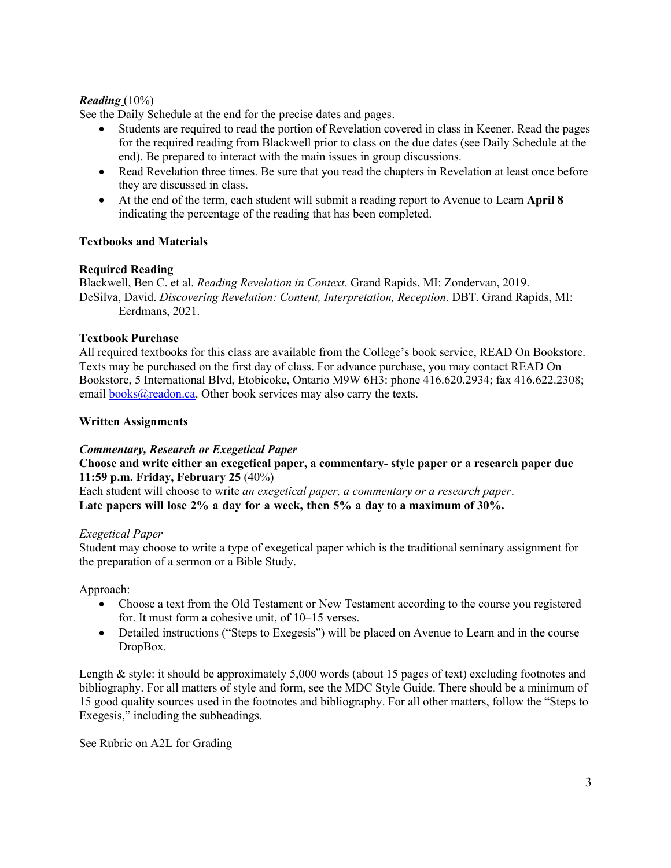# *Reading* (10%)

See the Daily Schedule at the end for the precise dates and pages.

- Students are required to read the portion of Revelation covered in class in Keener. Read the pages for the required reading from Blackwell prior to class on the due dates (see Daily Schedule at the end). Be prepared to interact with the main issues in group discussions.
- Read Revelation three times. Be sure that you read the chapters in Revelation at least once before they are discussed in class.
- At the end of the term, each student will submit a reading report to Avenue to Learn **April 8** indicating the percentage of the reading that has been completed.

## **Textbooks and Materials**

## **Required Reading**

Blackwell, Ben C. et al. *Reading Revelation in Context*. Grand Rapids, MI: Zondervan, 2019. DeSilva, David. *Discovering Revelation: Content, Interpretation, Reception*. DBT. Grand Rapids, MI: Eerdmans, 2021.

## **Textbook Purchase**

All required textbooks for this class are available from the College's book service, READ On Bookstore. Texts may be purchased on the first day of class. For advance purchase, you may contact READ On Bookstore, 5 International Blvd, Etobicoke, Ontario M9W 6H3: phone 416.620.2934; fax 416.622.2308; email  $books@readon.ca.$  Other book services may also carry the texts.

## **Written Assignments**

## *Commentary, Research or Exegetical Paper*

**Choose and write either an exegetical paper, a commentary- style paper or a research paper due 11:59 p.m. Friday, February 25** (40%)

Each student will choose to write *an exegetical paper, a commentary or a research paper*. **Late papers will lose 2% a day for a week, then 5% a day to a maximum of 30%.**

## *Exegetical Paper*

Student may choose to write a type of exegetical paper which is the traditional seminary assignment for the preparation of a sermon or a Bible Study.

Approach:

- Choose a text from the Old Testament or New Testament according to the course you registered for. It must form a cohesive unit, of 10–15 verses.
- Detailed instructions ("Steps to Exegesis") will be placed on Avenue to Learn and in the course DropBox.

Length & style: it should be approximately 5,000 words (about 15 pages of text) excluding footnotes and bibliography. For all matters of style and form, see the MDC Style Guide. There should be a minimum of 15 good quality sources used in the footnotes and bibliography. For all other matters, follow the "Steps to Exegesis," including the subheadings.

See Rubric on A2L for Grading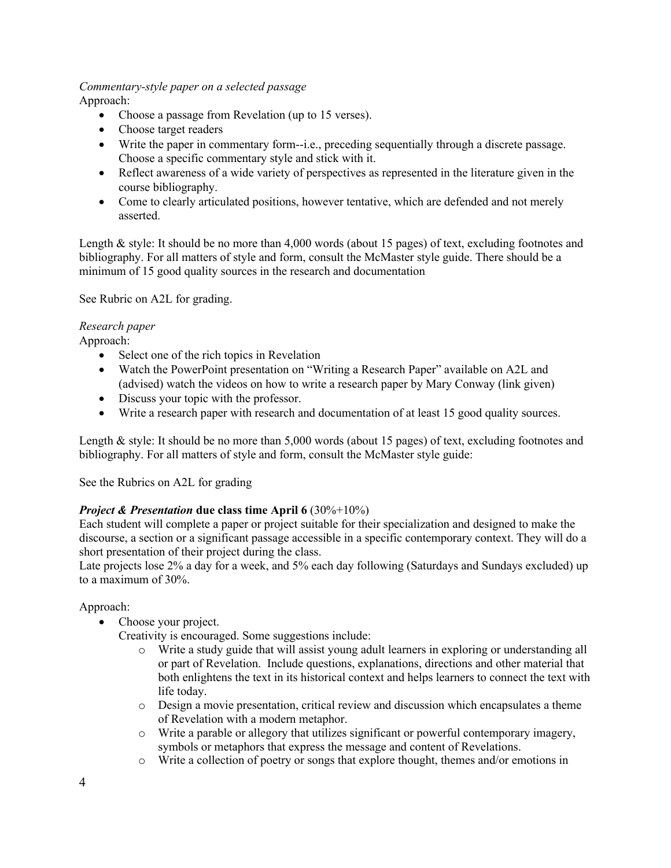#### *Commentary-style paper on a selected passage* Approach:

- Choose a passage from Revelation (up to 15 verses).
- Choose target readers
- Write the paper in commentary form--i.e., preceding sequentially through a discrete passage. Choose a specific commentary style and stick with it.
- Reflect awareness of a wide variety of perspectives as represented in the literature given in the course bibliography.
- Come to clearly articulated positions, however tentative, which are defended and not merely asserted.

Length & style: It should be no more than 4,000 words (about 15 pages) of text, excluding footnotes and bibliography. For all matters of style and form, consult the McMaster style guide. There should be a minimum of 15 good quality sources in the research and documentation

See Rubric on A2L for grading.

#### *Research paper* Approach:

- Select one of the rich topics in Revelation
- Watch the PowerPoint presentation on "Writing a Research Paper" available on A2L and (advised) watch the videos on how to write a research paper by Mary Conway (link given)
- Discuss your topic with the professor.
- Write a research paper with research and documentation of at least 15 good quality sources.

Length & style: It should be no more than 5,000 words (about 15 pages) of text, excluding footnotes and bibliography. For all matters of style and form, consult the McMaster style guide:

See the Rubrics on A2L for grading

# *Project & Presentation* due class time April 6 (30%+10%)

Each student will complete a paper or project suitable for their specialization and designed to make the discourse, a section or a significant passage accessible in a specific contemporary context. They will do a short presentation of their project during the class.

Late projects lose 2% a day for a week, and 5% each day following (Saturdays and Sundays excluded) up to a maximum of 30%.

## Approach:

• Choose your project.

Creativity is encouraged. Some suggestions include:

- o Write a study guide that will assist young adult learners in exploring or understanding all or part of Revelation. Include questions, explanations, directions and other material that both enlightens the text in its historical context and helps learners to connect the text with life today.
- $\circ$  Design a movie presentation, critical review and discussion which encapsulates a theme of Revelation with a modern metaphor.
- o Write a parable or allegory that utilizes significant or powerful contemporary imagery, symbols or metaphors that express the message and content of Revelations.
- o Write a collection of poetry or songs that explore thought, themes and/or emotions in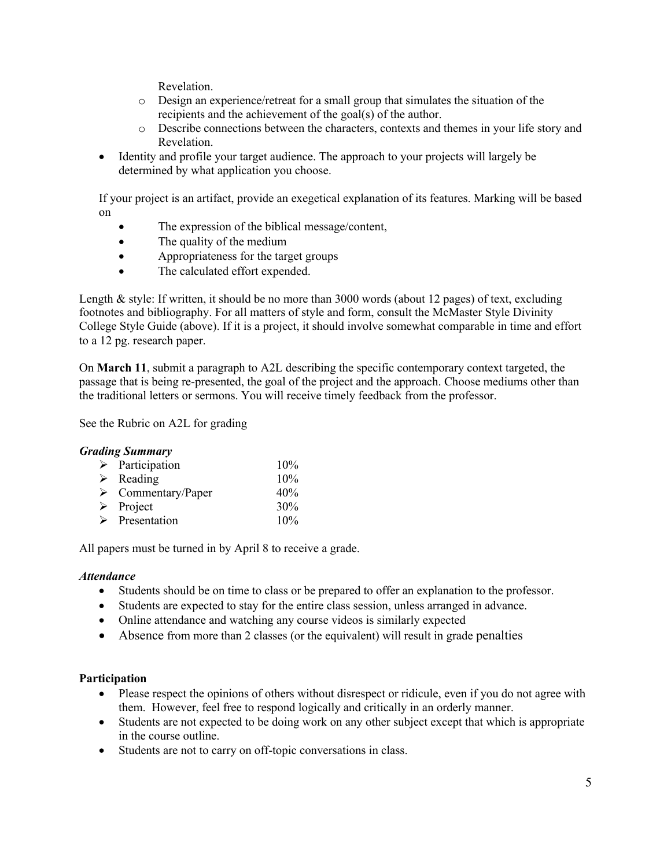Revelation.

- o Design an experience/retreat for a small group that simulates the situation of the recipients and the achievement of the goal(s) of the author.
- o Describe connections between the characters, contexts and themes in your life story and Revelation.
- Identity and profile your target audience. The approach to your projects will largely be determined by what application you choose.

If your project is an artifact, provide an exegetical explanation of its features. Marking will be based on

- The expression of the biblical message/content,
- The quality of the medium
- Appropriateness for the target groups
- The calculated effort expended.

Length & style: If written, it should be no more than 3000 words (about 12 pages) of text, excluding footnotes and bibliography. For all matters of style and form, consult the McMaster Style Divinity College Style Guide (above). If it is a project, it should involve somewhat comparable in time and effort to a 12 pg. research paper.

On **March 11**, submit a paragraph to A2L describing the specific contemporary context targeted, the passage that is being re-presented, the goal of the project and the approach. Choose mediums other than the traditional letters or sermons. You will receive timely feedback from the professor.

See the Rubric on A2L for grading

## *Grading Summary*

| $\triangleright$ Participation    | 10% |
|-----------------------------------|-----|
| $\triangleright$ Reading          | 10% |
| $\triangleright$ Commentary/Paper | 40% |
| $\triangleright$ Project          | 30% |
| $\triangleright$ Presentation     | 10% |

All papers must be turned in by April 8 to receive a grade.

## *Attendance*

- Students should be on time to class or be prepared to offer an explanation to the professor.
- Students are expected to stay for the entire class session, unless arranged in advance.
- Online attendance and watching any course videos is similarly expected
- Absence from more than 2 classes (or the equivalent) will result in grade penalties

## **Participation**

- Please respect the opinions of others without disrespect or ridicule, even if you do not agree with them. However, feel free to respond logically and critically in an orderly manner.
- Students are not expected to be doing work on any other subject except that which is appropriate in the course outline.
- Students are not to carry on off-topic conversations in class.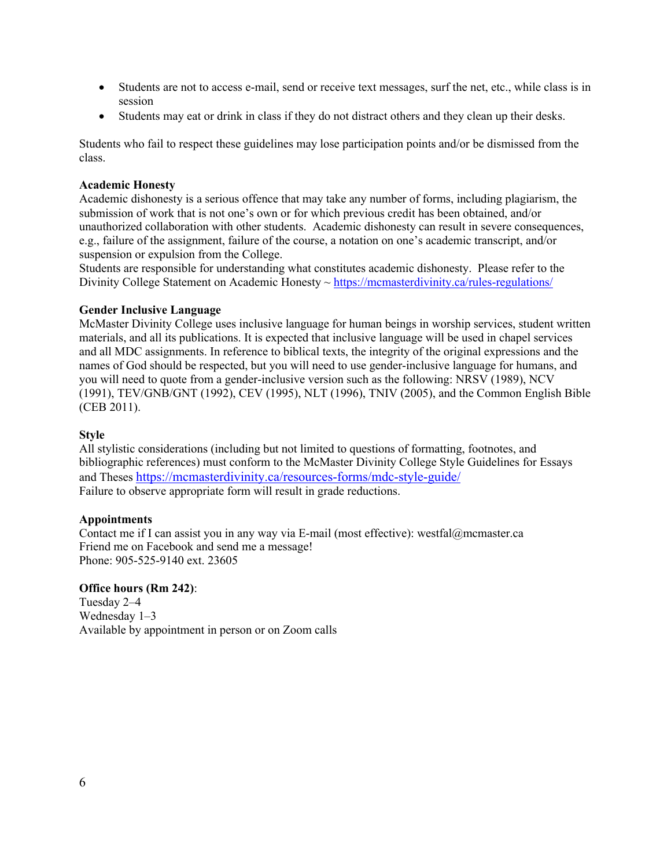- Students are not to access e-mail, send or receive text messages, surf the net, etc., while class is in session
- Students may eat or drink in class if they do not distract others and they clean up their desks.

Students who fail to respect these guidelines may lose participation points and/or be dismissed from the class.

#### **Academic Honesty**

Academic dishonesty is a serious offence that may take any number of forms, including plagiarism, the submission of work that is not one's own or for which previous credit has been obtained, and/or unauthorized collaboration with other students. Academic dishonesty can result in severe consequences, e.g., failure of the assignment, failure of the course, a notation on one's academic transcript, and/or suspension or expulsion from the College.

Students are responsible for understanding what constitutes academic dishonesty. Please refer to the Divinity College Statement on Academic Honesty ~ https://mcmasterdivinity.ca/rules-regulations/

#### **Gender Inclusive Language**

McMaster Divinity College uses inclusive language for human beings in worship services, student written materials, and all its publications. It is expected that inclusive language will be used in chapel services and all MDC assignments. In reference to biblical texts, the integrity of the original expressions and the names of God should be respected, but you will need to use gender-inclusive language for humans, and you will need to quote from a gender-inclusive version such as the following: NRSV (1989), NCV (1991), TEV/GNB/GNT (1992), CEV (1995), NLT (1996), TNIV (2005), and the Common English Bible (CEB 2011).

#### **Style**

All stylistic considerations (including but not limited to questions of formatting, footnotes, and bibliographic references) must conform to the McMaster Divinity College Style Guidelines for Essays and Theses https://mcmasterdivinity.ca/resources-forms/mdc-style-guide/ Failure to observe appropriate form will result in grade reductions.

#### **Appointments**

Contact me if I can assist you in any way via E-mail (most effective): westfal@mcmaster.ca Friend me on Facebook and send me a message! Phone: 905-525-9140 ext. 23605

#### **Office hours (Rm 242)**:

Tuesday 2–4 Wednesday 1–3 Available by appointment in person or on Zoom calls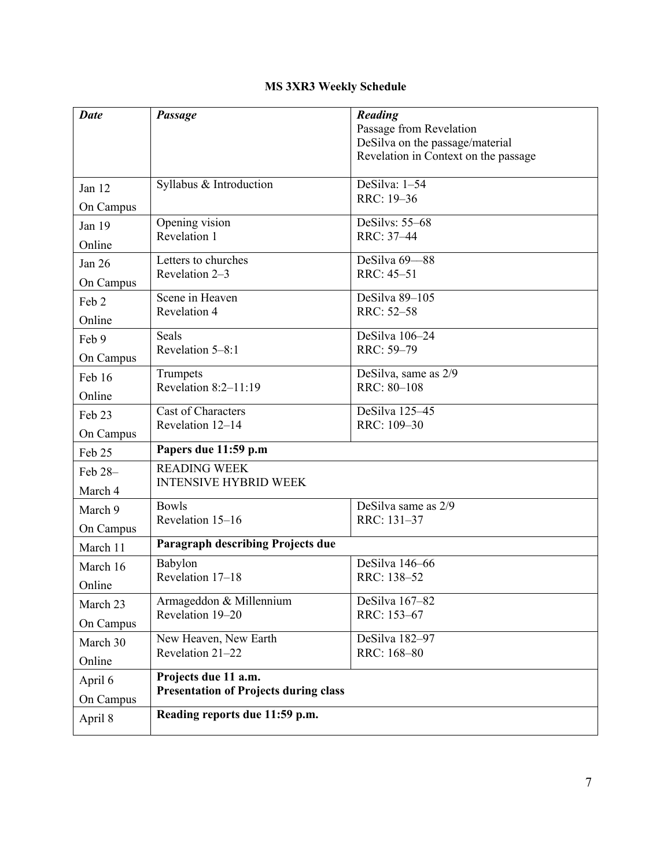# **MS 3XR3 Weekly Schedule**

| <b>Date</b>                                                                                  | Passage                                  | Reading<br>Passage from Revelation       |  |
|----------------------------------------------------------------------------------------------|------------------------------------------|------------------------------------------|--|
|                                                                                              |                                          | DeSilva on the passage/material          |  |
|                                                                                              |                                          | Revelation in Context on the passage     |  |
| Jan 12                                                                                       | Syllabus & Introduction                  | DeSilva: $1-\overline{54}$<br>RRC: 19-36 |  |
| On Campus                                                                                    |                                          |                                          |  |
| Jan 19                                                                                       | Opening vision                           | DeSilvs: 55-68                           |  |
| Online                                                                                       | Revelation 1                             | RRC: 37-44                               |  |
| Jan 26                                                                                       | Letters to churches                      | DeSilva 69-88                            |  |
| On Campus                                                                                    | Revelation 2-3                           | RRC: 45-51                               |  |
| Feb 2                                                                                        | Scene in Heaven                          | DeSilva 89-105                           |  |
| Online                                                                                       | Revelation 4                             | RRC: 52-58                               |  |
| Feb 9                                                                                        | Seals                                    | DeSilva 106-24                           |  |
| On Campus                                                                                    | Revelation 5-8:1                         | RRC: 59-79                               |  |
| Feb 16                                                                                       | Trumpets                                 | DeSilva, same as 2/9                     |  |
| Online                                                                                       | Revelation $8:2-11:19$                   | RRC: 80-108                              |  |
| Feb 23                                                                                       | <b>Cast of Characters</b>                | DeSilva 125-45                           |  |
| On Campus                                                                                    | Revelation 12-14                         | RRC: 109-30                              |  |
| Feb 25                                                                                       | Papers due 11:59 p.m                     |                                          |  |
| Feb 28-                                                                                      | <b>READING WEEK</b>                      |                                          |  |
| March 4                                                                                      | <b>INTENSIVE HYBRID WEEK</b>             |                                          |  |
| March 9                                                                                      | <b>Bowls</b>                             | DeSilva same as 2/9                      |  |
| On Campus                                                                                    | Revelation 15-16                         | RRC: 131-37                              |  |
| March 11                                                                                     | <b>Paragraph describing Projects due</b> |                                          |  |
| March 16                                                                                     | Babylon                                  | DeSilva 146-66                           |  |
| Online                                                                                       | Revelation 17-18                         | RRC: 138-52                              |  |
| March 23                                                                                     | Armageddon & Millennium                  | DeSilva 167-82                           |  |
| On Campus                                                                                    | Revelation 19-20                         | RRC: 153-67                              |  |
| March 30                                                                                     | New Heaven, New Earth                    | DeSilva 182-97                           |  |
| Online                                                                                       | Revelation 21-22                         | RRC: 168-80                              |  |
| Projects due 11 a.m.<br>April 6<br><b>Presentation of Projects during class</b><br>On Campus |                                          |                                          |  |
|                                                                                              |                                          |                                          |  |
| April 8                                                                                      | Reading reports due 11:59 p.m.           |                                          |  |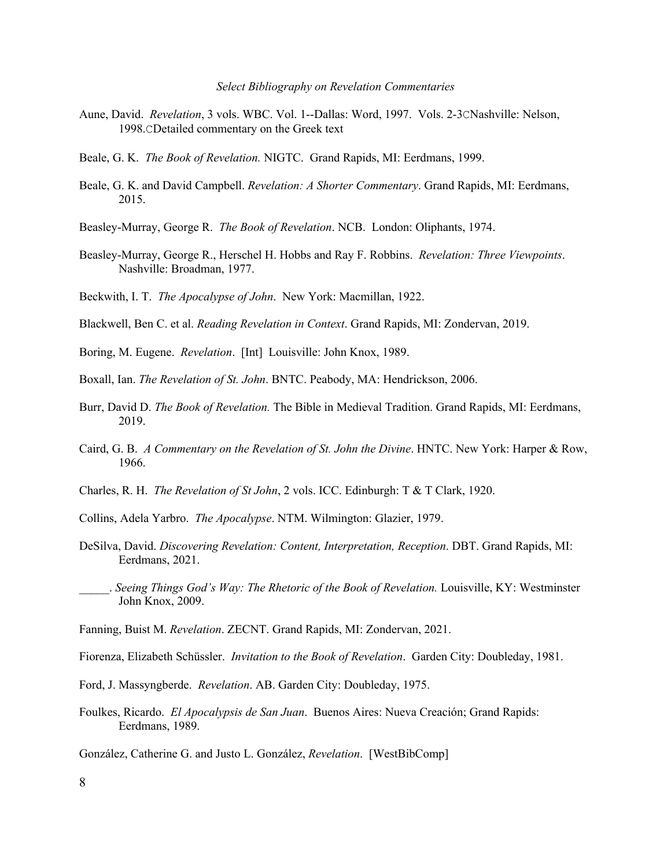#### *Select Bibliography on Revelation Commentaries*

- Aune, David. *Revelation*, 3 vols. WBC. Vol. 1--Dallas: Word, 1997. Vols. 2-3CNashville: Nelson, 1998.CDetailed commentary on the Greek text
- Beale, G. K. *The Book of Revelation.* NIGTC. Grand Rapids, MI: Eerdmans, 1999.
- Beale, G. K. and David Campbell. *Revelation: A Shorter Commentary*. Grand Rapids, MI: Eerdmans, 2015.
- Beasley-Murray, George R. *The Book of Revelation*. NCB. London: Oliphants, 1974.
- Beasley-Murray, George R., Herschel H. Hobbs and Ray F. Robbins. *Revelation: Three Viewpoints*. Nashville: Broadman, 1977.
- Beckwith, I. T. *The Apocalypse of John*. New York: Macmillan, 1922.
- Blackwell, Ben C. et al. *Reading Revelation in Context*. Grand Rapids, MI: Zondervan, 2019.
- Boring, M. Eugene. *Revelation*. [Int] Louisville: John Knox, 1989.
- Boxall, Ian. *The Revelation of St. John*. BNTC. Peabody, MA: Hendrickson, 2006.
- Burr, David D. *The Book of Revelation.* The Bible in Medieval Tradition. Grand Rapids, MI: Eerdmans, 2019.
- Caird, G. B. *A Commentary on the Revelation of St. John the Divine*. HNTC. New York: Harper & Row, 1966.
- Charles, R. H. *The Revelation of St John*, 2 vols. ICC. Edinburgh: T & T Clark, 1920.
- Collins, Adela Yarbro. *The Apocalypse*. NTM. Wilmington: Glazier, 1979.
- DeSilva, David. *Discovering Revelation: Content, Interpretation, Reception*. DBT. Grand Rapids, MI: Eerdmans, 2021.
- \_\_\_\_\_. *Seeing Things God's Way: The Rhetoric of the Book of Revelation.* Louisville, KY: Westminster John Knox, 2009.
- Fanning, Buist M. *Revelation*. ZECNT. Grand Rapids, MI: Zondervan, 2021.
- Fiorenza, Elizabeth Schüssler. *Invitation to the Book of Revelation*. Garden City: Doubleday, 1981.
- Ford, J. Massyngberde. *Revelation*. AB. Garden City: Doubleday, 1975.
- Foulkes, Ricardo. *El Apocalypsis de San Juan*. Buenos Aires: Nueva Creación; Grand Rapids: Eerdmans, 1989.
- González, Catherine G. and Justo L. González, *Revelation*. [WestBibComp]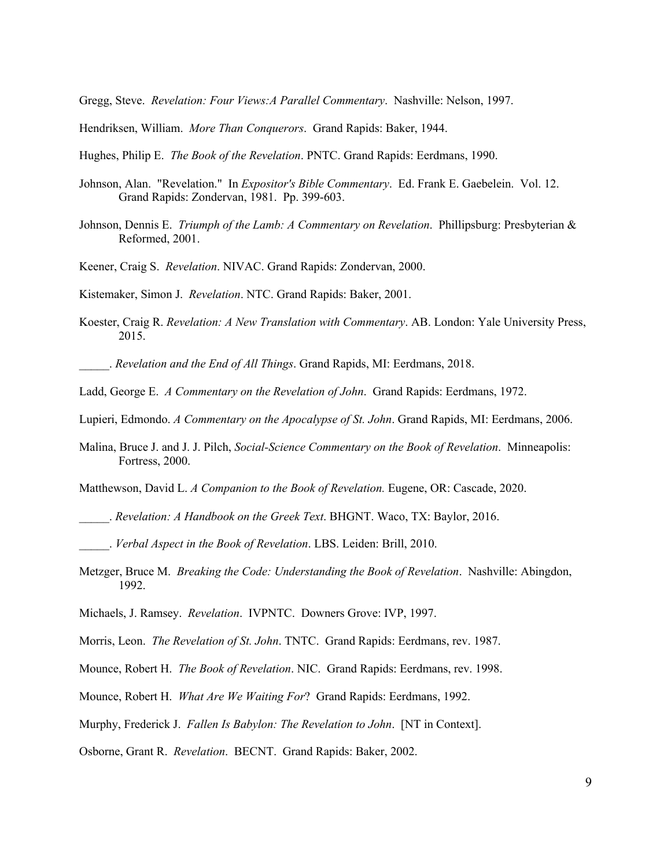Gregg, Steve. *Revelation: Four Views:A Parallel Commentary*. Nashville: Nelson, 1997.

- Hendriksen, William. *More Than Conquerors*. Grand Rapids: Baker, 1944.
- Hughes, Philip E. *The Book of the Revelation*. PNTC. Grand Rapids: Eerdmans, 1990.
- Johnson, Alan. "Revelation." In *Expositor's Bible Commentary*. Ed. Frank E. Gaebelein. Vol. 12. Grand Rapids: Zondervan, 1981. Pp. 399-603.
- Johnson, Dennis E. *Triumph of the Lamb: A Commentary on Revelation*. Phillipsburg: Presbyterian & Reformed, 2001.
- Keener, Craig S. *Revelation*. NIVAC. Grand Rapids: Zondervan, 2000.

Kistemaker, Simon J. *Revelation*. NTC. Grand Rapids: Baker, 2001.

Koester, Craig R. *Revelation: A New Translation with Commentary*. AB. London: Yale University Press, 2015.

\_\_\_\_\_. *Revelation and the End of All Things*. Grand Rapids, MI: Eerdmans, 2018.

- Ladd, George E. *A Commentary on the Revelation of John*. Grand Rapids: Eerdmans, 1972.
- Lupieri, Edmondo. *A Commentary on the Apocalypse of St. John*. Grand Rapids, MI: Eerdmans, 2006.
- Malina, Bruce J. and J. J. Pilch, *Social-Science Commentary on the Book of Revelation*. Minneapolis: Fortress, 2000.

Matthewson, David L. *A Companion to the Book of Revelation.* Eugene, OR: Cascade, 2020.

- \_\_\_\_\_. *Revelation: A Handbook on the Greek Text*. BHGNT. Waco, TX: Baylor, 2016.
- \_\_\_\_\_. *Verbal Aspect in the Book of Revelation*. LBS. Leiden: Brill, 2010.
- Metzger, Bruce M. *Breaking the Code: Understanding the Book of Revelation*. Nashville: Abingdon, 1992.
- Michaels, J. Ramsey. *Revelation*. IVPNTC. Downers Grove: IVP, 1997.
- Morris, Leon. *The Revelation of St. John*. TNTC. Grand Rapids: Eerdmans, rev. 1987.
- Mounce, Robert H. *The Book of Revelation*. NIC. Grand Rapids: Eerdmans, rev. 1998.
- Mounce, Robert H. *What Are We Waiting For*? Grand Rapids: Eerdmans, 1992.
- Murphy, Frederick J. *Fallen Is Babylon: The Revelation to John*. [NT in Context].

Osborne, Grant R. *Revelation*. BECNT. Grand Rapids: Baker, 2002.